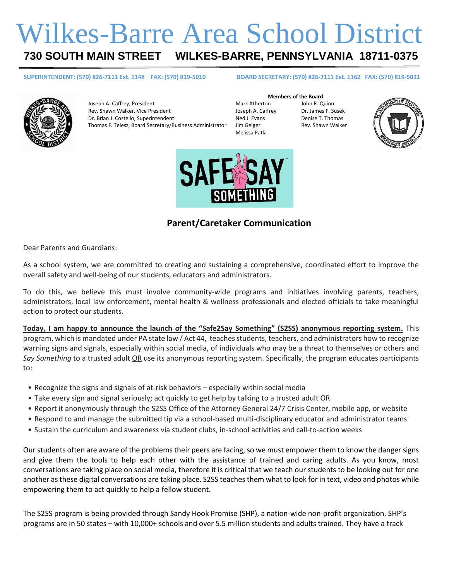## Wilkes-Barre Area School District **730 SOUTH MAIN STREET WILKES-BARRE, PENNSYLVANIA 18711-0375**

**SUPERINTENDENT: (570) 826-7111 Ext. 1148 FAX: (570) 819-5010 BOARD SECRETARY: (570) 826-7111 Ext. 1162 FAX: (570) 819-5011**



Joseph A. Caffrey, President Mark Atherton Mark Atherton John R. Quinn Rev. Shawn Walker, Vice President The Control of Loseph A. Caffrey The Dr. James F. Susek Dr. Brian J. Costello, Superintendent Ned J. Evans Denise T. Thomas Thomas F. Telesz, Board Secretary/Business Administrator Jim Geiger Rev. Shawn Walker

**Members of the Board**

Melissa Patla





## **Parent/Caretaker Communication**

Dear Parents and Guardians:

As a school system, we are committed to creating and sustaining a comprehensive, coordinated effort to improve the overall safety and well-being of our students, educators and administrators.

To do this, we believe this must involve community-wide programs and initiatives involving parents, teachers, administrators, local law enforcement, mental health & wellness professionals and elected officials to take meaningful action to protect our students.

**Today, I am happy to announce the launch of the "Safe2Say Something" (S2SS) anonymous reporting system.** This program, which is mandated under PA state law / Act 44, teaches students, teachers, and administrators how to recognize warning signs and signals, especially within social media, of individuals who may be a threat to themselves or others and *Say Something* to a trusted adult OR use its anonymous reporting system. Specifically, the program educates participants to:

- Recognize the signs and signals of at-risk behaviors especially within social media
- Take every sign and signal seriously; act quickly to get help by talking to a trusted adult OR
- Report it anonymously through the S2SS Office of the Attorney General 24/7 Crisis Center, mobile app, or website
- Respond to and manage the submitted tip via a school-based multi-disciplinary educator and administrator teams
- Sustain the curriculum and awareness via student clubs, in-school activities and call-to-action weeks

Our students often are aware of the problems their peers are facing, so we must empower them to know the danger signs and give them the tools to help each other with the assistance of trained and caring adults. As you know, most conversations are taking place on social media, therefore it is critical that we teach our students to be looking out for one another as these digital conversations are taking place. S2SS teaches them what to look for in text, video and photos while empowering them to act quickly to help a fellow student.

The S2SS program is being provided through Sandy Hook Promise (SHP), a nation-wide non-profit organization. SHP's programs are in 50 states – with 10,000+ schools and over 5.5 million students and adults trained. They have a track